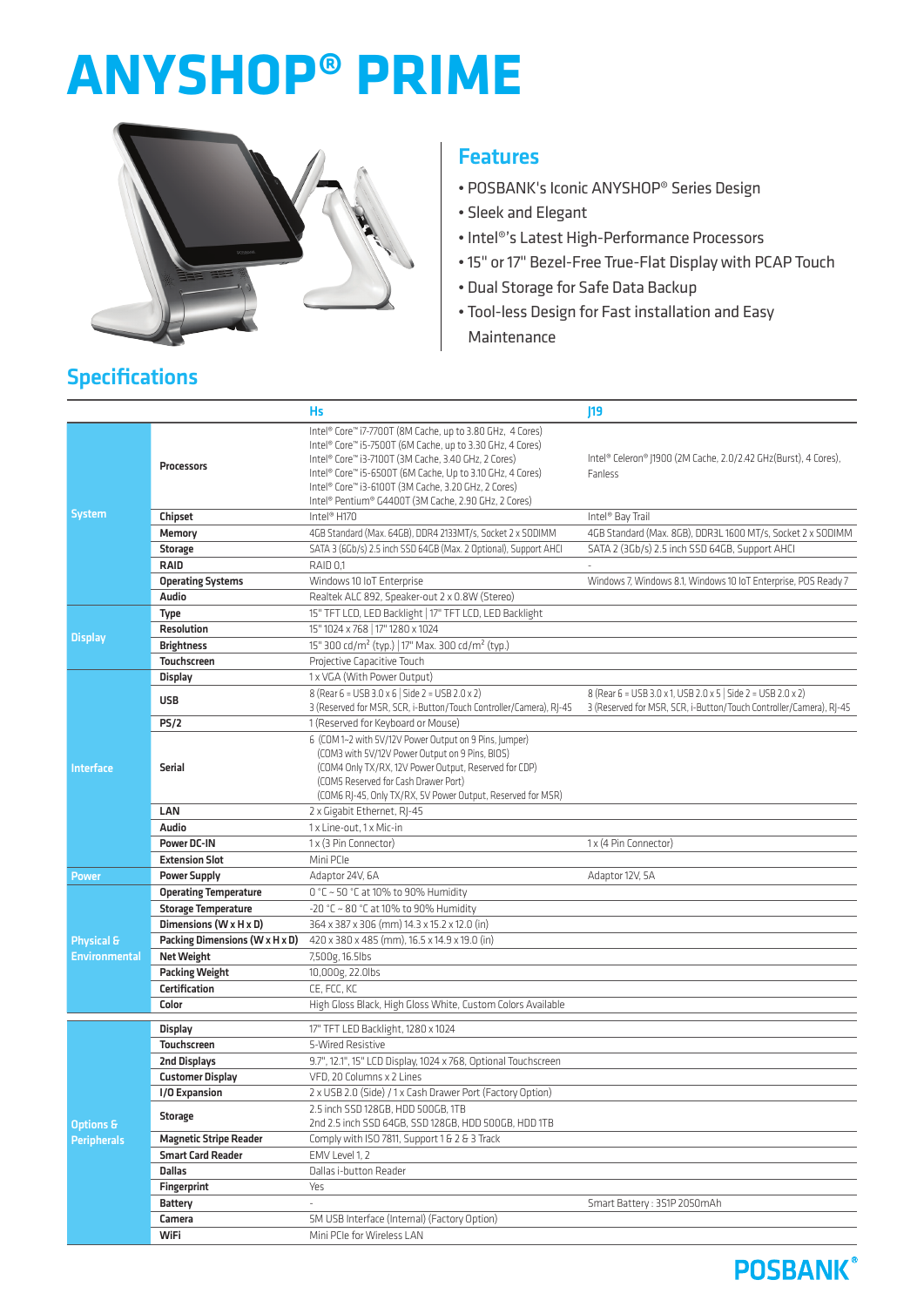# **ANYSHOP® PRIME**



#### **Features**

- POSBANK's Iconic ANYSHOP® Series Design
- Sleek and Elegant
- Intel®'s Latest High-Performance Processors
- 15" or 17" Bezel-Free True-Flat Display with PCAP Touch
- Dual Storage for Safe Data Backup
- Tool-less Design for Fast installation and Easy Maintenance

|                                            |                                | <b>Hs</b>                                                                                                                                                                                                                                                                                                                                                             | 19                                                                                                                                 |
|--------------------------------------------|--------------------------------|-----------------------------------------------------------------------------------------------------------------------------------------------------------------------------------------------------------------------------------------------------------------------------------------------------------------------------------------------------------------------|------------------------------------------------------------------------------------------------------------------------------------|
| <b>System</b>                              | Processors                     | Intel® Core™ i7-7700T (8M Cache, up to 3.80 GHz, 4 Cores)<br>Intel® Core™ i5-7500T (6M Cache, up to 3.30 GHz, 4 Cores)<br>Intel® Core™ i3-7100T (3M Cache, 3.40 GHz, 2 Cores)<br>Intel® Core™ i5-6500T (6M Cache, Up to 3.10 GHz, 4 Cores)<br>Intel® Core™ i3-6100T (3M Cache, 3.20 GHz, 2 Cores)<br>Intel <sup>®</sup> Pentium® G4400T (3M Cache, 2.90 GHz, 2 Cores) | Intel® Celeron® J1900 (2M Cache, 2.0/2.42 GHz(Burst), 4 Cores),<br>Fanless                                                         |
|                                            | Chipset                        | Intel <sup>®</sup> H170                                                                                                                                                                                                                                                                                                                                               | Intel <sup>®</sup> Bay Trail                                                                                                       |
|                                            | Memory                         | 4GB Standard (Max. 64GB), DDR4 2133MT/s, Socket 2 x SODIMM                                                                                                                                                                                                                                                                                                            | 4GB Standard (Max. 8GB), DDR3L 1600 MT/s, Socket 2 x SODIMM                                                                        |
|                                            | Storage                        | SATA 3 (6Gb/s) 2.5 inch SSD 64GB (Max. 2 Optional), Support AHCI                                                                                                                                                                                                                                                                                                      | SATA 2 (3Gb/s) 2.5 inch SSD 64GB, Support AHCI                                                                                     |
|                                            | <b>RAID</b>                    | RAID 0,1                                                                                                                                                                                                                                                                                                                                                              |                                                                                                                                    |
|                                            | <b>Operating Systems</b>       | Windows 10 IoT Enterprise                                                                                                                                                                                                                                                                                                                                             | Windows 7, Windows 8.1, Windows 10 IoT Enterprise, POS Ready 7                                                                     |
|                                            | Audio                          | Realtek ALC 892, Speaker-out 2 x 0.8W (Stereo)                                                                                                                                                                                                                                                                                                                        |                                                                                                                                    |
| <b>Display</b>                             | <b>Type</b>                    | 15" TFT LCD, LED Backlight   17" TFT LCD, LED Backlight                                                                                                                                                                                                                                                                                                               |                                                                                                                                    |
|                                            | <b>Resolution</b>              | 15" 1024 x 768   17" 1280 x 1024                                                                                                                                                                                                                                                                                                                                      |                                                                                                                                    |
|                                            | <b>Brightness</b>              | 15" 300 cd/m <sup>2</sup> (typ.)   17" Max. 300 cd/m <sup>2</sup> (typ.)                                                                                                                                                                                                                                                                                              |                                                                                                                                    |
|                                            | <b>Touchscreen</b>             | Projective Capacitive Touch                                                                                                                                                                                                                                                                                                                                           |                                                                                                                                    |
| <b>Interface</b>                           | <b>Display</b>                 | 1 x VGA (With Power Output)                                                                                                                                                                                                                                                                                                                                           |                                                                                                                                    |
|                                            | <b>USB</b>                     | 8 (Rear 6 = USB 3.0 x 6   Side 2 = USB 2.0 x 2)<br>3 (Reserved for MSR, SCR, i-Button/Touch Controller/Camera), RI-45                                                                                                                                                                                                                                                 | 8 (Rear 6 = USB 3.0 x 1, USB 2.0 x 5   Side 2 = USB 2.0 x 2)<br>3 (Reserved for MSR, SCR, i-Button/Touch Controller/Camera), RI-45 |
|                                            | PS/2                           | 1 (Reserved for Keyboard or Mouse)                                                                                                                                                                                                                                                                                                                                    |                                                                                                                                    |
|                                            |                                | 6 (COM 1~2 with 5V/12V Power Output on 9 Pins, Jumper)                                                                                                                                                                                                                                                                                                                |                                                                                                                                    |
|                                            | <b>Serial</b>                  | (COM3 with 5V/12V Power Output on 9 Pins, BIOS)<br>(COM4 Only TX/RX, 12V Power Output, Reserved for CDP)<br>(COM5 Reserved for Cash Drawer Port)<br>(COM6 RJ-45, Only TX/RX, 5V Power Output, Reserved for MSR)                                                                                                                                                       |                                                                                                                                    |
|                                            | LAN                            | 2 x Gigabit Ethernet, RJ-45                                                                                                                                                                                                                                                                                                                                           |                                                                                                                                    |
|                                            | Audio                          | 1 x Line-out. 1 x Mic-in                                                                                                                                                                                                                                                                                                                                              |                                                                                                                                    |
|                                            | <b>Power DC-IN</b>             | 1 x (3 Pin Connector)                                                                                                                                                                                                                                                                                                                                                 | 1 x (4 Pin Connector)                                                                                                              |
|                                            | <b>Extension Slot</b>          | Mini PCIe                                                                                                                                                                                                                                                                                                                                                             |                                                                                                                                    |
| <b>Power</b>                               | <b>Power Supply</b>            | Adaptor 24V, 6A                                                                                                                                                                                                                                                                                                                                                       | Adaptor 12V, 5A                                                                                                                    |
|                                            | <b>Operating Temperature</b>   | 0 °C ~ 50 °C at 10% to 90% Humidity                                                                                                                                                                                                                                                                                                                                   |                                                                                                                                    |
|                                            | <b>Storage Temperature</b>     | $-20$ °C ~ 80 °C at 10% to 90% Humidity                                                                                                                                                                                                                                                                                                                               |                                                                                                                                    |
|                                            | Dimensions (W x H x D)         | 364 x 387 x 306 (mm) 14.3 x 15.2 x 12.0 (in)                                                                                                                                                                                                                                                                                                                          |                                                                                                                                    |
| Physical &<br><b>Environmental</b>         | Packing Dimensions (W x H x D) | 420 x 380 x 485 (mm), 16.5 x 14.9 x 19.0 (in)                                                                                                                                                                                                                                                                                                                         |                                                                                                                                    |
|                                            | <b>Net Weight</b>              | 7,500g, 16.5lbs                                                                                                                                                                                                                                                                                                                                                       |                                                                                                                                    |
|                                            | <b>Packing Weight</b>          | 10,000g, 22.0lbs                                                                                                                                                                                                                                                                                                                                                      |                                                                                                                                    |
|                                            | Certification                  | CE, FCC, KC                                                                                                                                                                                                                                                                                                                                                           |                                                                                                                                    |
|                                            | Color                          | High Gloss Black, High Gloss White, Custom Colors Available                                                                                                                                                                                                                                                                                                           |                                                                                                                                    |
| <b>Options &amp;</b><br><b>Peripherals</b> | <b>Display</b>                 | 17" TFT LED Backlight, 1280 x 1024                                                                                                                                                                                                                                                                                                                                    |                                                                                                                                    |
|                                            | Touchscreen                    | 5-Wired Resistive                                                                                                                                                                                                                                                                                                                                                     |                                                                                                                                    |
|                                            | 2nd Displays                   | 9.7", 12.1", 15" LCD Display, 1024 x 768, Optional Touchscreen                                                                                                                                                                                                                                                                                                        |                                                                                                                                    |
|                                            | <b>Customer Display</b>        | VFD, 20 Columns x 2 Lines                                                                                                                                                                                                                                                                                                                                             |                                                                                                                                    |
|                                            | I/O Expansion                  | 2 x USB 2.0 (Side) / 1 x Cash Drawer Port (Factory Option)                                                                                                                                                                                                                                                                                                            |                                                                                                                                    |
|                                            | <b>Storage</b>                 | 2.5 inch SSD 128GB, HDD 500GB, 1TB<br>2nd 2.5 inch SSD 64GB, SSD 128GB, HDD 500GB, HDD 1TB                                                                                                                                                                                                                                                                            |                                                                                                                                    |
|                                            | <b>Magnetic Stripe Reader</b>  | Comply with ISO 7811, Support 1 & 2 & 3 Track                                                                                                                                                                                                                                                                                                                         |                                                                                                                                    |
|                                            | <b>Smart Card Reader</b>       | EMV Level 1, 2                                                                                                                                                                                                                                                                                                                                                        |                                                                                                                                    |
|                                            | <b>Dallas</b>                  | Dallas i-button Reader                                                                                                                                                                                                                                                                                                                                                |                                                                                                                                    |
|                                            | <b>Fingerprint</b>             | Yes                                                                                                                                                                                                                                                                                                                                                                   |                                                                                                                                    |
|                                            | <b>Battery</b>                 | $\mathcal{L}$                                                                                                                                                                                                                                                                                                                                                         | Smart Battery: 3S1P 2050mAh                                                                                                        |
|                                            | Camera                         | 5M USB Interface (Internal) (Factory Option)                                                                                                                                                                                                                                                                                                                          |                                                                                                                                    |
|                                            | WiFi                           | Mini PCIe for Wireless LAN                                                                                                                                                                                                                                                                                                                                            |                                                                                                                                    |

## Specifications